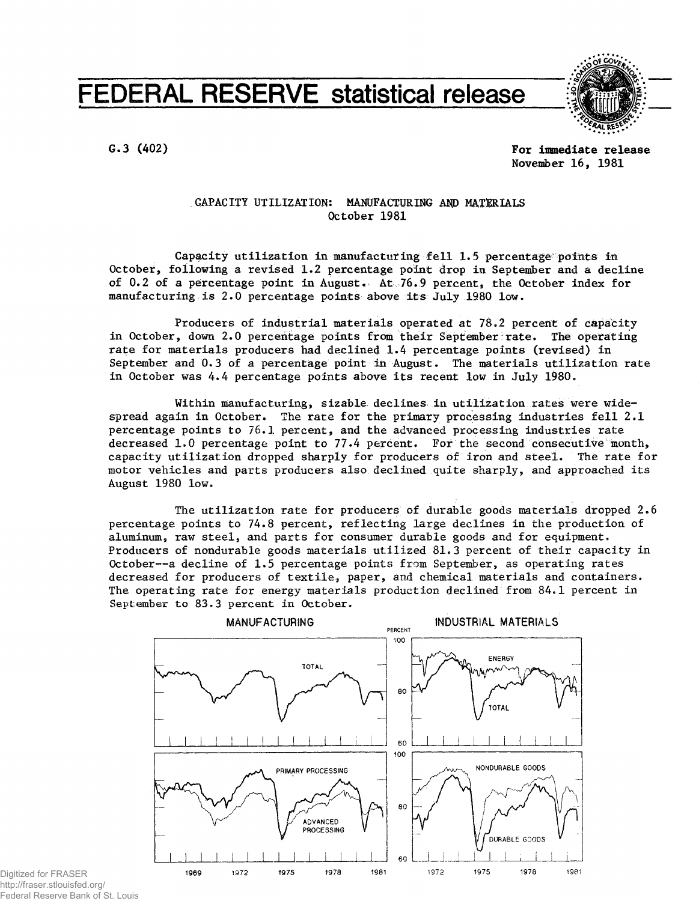# **FEDERAL RESERVE statistical release**



**G.3 (402) For immediate release November 16, 1981**

## CAPACITY UTILIZATION: MANUFACTURING AND MATERIALS October 1981

Capacity utilization in manufacturing fell 1.5 percentage points in October, following a revised 1.2 percentage point drop in September and a decline of 0.2 of a percentage point in August. At 76.9 percent, the October index for manufacturing is 2.0 percentage points above its July 1980 low.

Producers of industrial materials operated at 78.2 percent of capacity in October, down 2.0 percentage points from their September rate. The operating rate for materials producers had declined 1.4 percentage points (revised) in September and  $0.3$  of a percentage point in August. The materials utilization rate in October was 4.4 percentage points above its recent low in July 1980.

Within manufacturing, sizable declines in utilization rates were widespread again in October. The rate for the primary processing industries fell 2.1 percentage points to 76.1 percent, and the advanced processing industries rate decreased 1.0 percentage point to 77.4 percent. For the second consecutive month, capacity utilization dropped sharply for producers of iron and steel. The rate for motor vehicles and parts producers also declined quite sharply, and approached its August 1980 low.

The utilization rate for producers of durable goods materials dropped  $2.6$ percentage points to 74.8 percent, reflecting large declines in the production of aluminum, raw steel, and parts for consumer durable goods and for equipment. Producers of nondurable goods materials utilized 81.3 percent of their capacity in October--a decline of 1.5 percentage points from September, as operating rates decreased for producers of textile, paper, and chemical materials and containers. The operating rate for energy materials production declined from 84.1 percent in September to 83.3 percent in October.



**Digitized for FRASER** http://fraser.stlouisfed.org/ Federal Reserve Bank of St. Louis